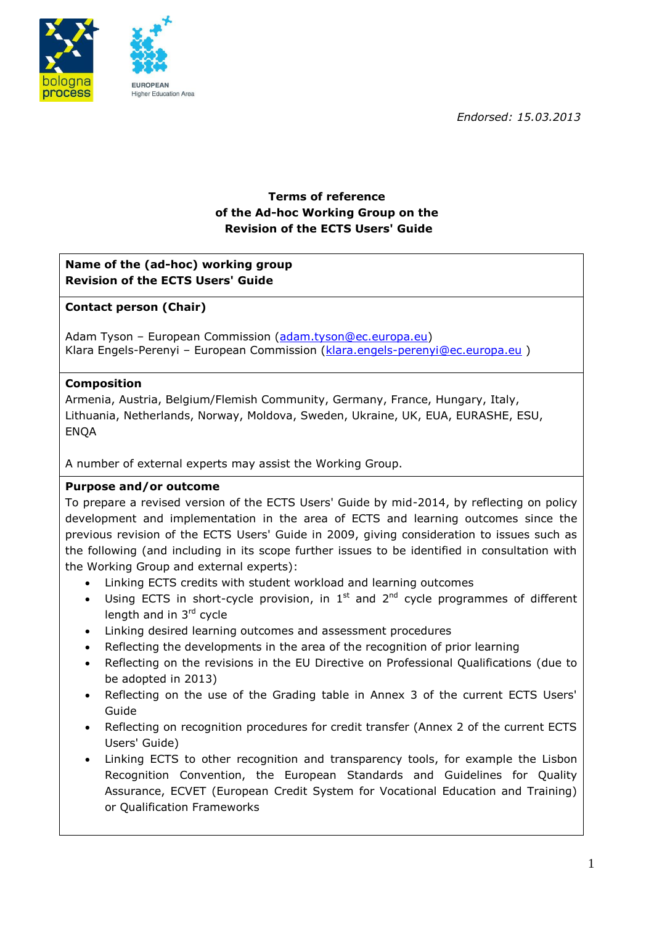*Endorsed: 15.03.2013*



# **Terms of reference of the Ad-hoc Working Group on the Revision of the ECTS Users' Guide**

## **Name of the (ad-hoc) working group Revision of the ECTS Users' Guide**

## **Contact person (Chair)**

Adam Tyson - European Commission [\(adam.tyson@ec.europa.eu\)](mailto:adam.tyson@ec.europa.eu) Klara Engels-Perenyi - European Commission [\(klara.engels-perenyi@ec.europa.eu](mailto:klara.engels-perenyi@ec.europa.eu))

### **Composition**

Armenia, Austria, Belgium/Flemish Community, Germany, France, Hungary, Italy, Lithuania, Netherlands, Norway, Moldova, Sweden, Ukraine, UK, EUA, EURASHE, ESU, **ENOA** 

A number of external experts may assist the Working Group.

#### **Purpose and/or outcome**

To prepare a revised version of the ECTS Users' Guide by mid-2014, by reflecting on policy development and implementation in the area of ECTS and learning outcomes since the previous revision of the ECTS Users' Guide in 2009, giving consideration to issues such as the following (and including in its scope further issues to be identified in consultation with the Working Group and external experts):

- Linking ECTS credits with student workload and learning outcomes
- Using ECTS in short-cycle provision, in  $1<sup>st</sup>$  and  $2<sup>nd</sup>$  cycle programmes of different length and in  $3<sup>rd</sup>$  cycle
- Linking desired learning outcomes and assessment procedures
- Reflecting the developments in the area of the recognition of prior learning
- Reflecting on the revisions in the EU Directive on Professional Qualifications (due to be adopted in 2013)
- Reflecting on the use of the Grading table in Annex 3 of the current ECTS Users' Guide
- Reflecting on recognition procedures for credit transfer (Annex 2 of the current ECTS Users' Guide)
- Linking ECTS to other recognition and transparency tools, for example the Lisbon Recognition Convention, the European Standards and Guidelines for Quality Assurance, ECVET (European Credit System for Vocational Education and Training) or Qualification Frameworks